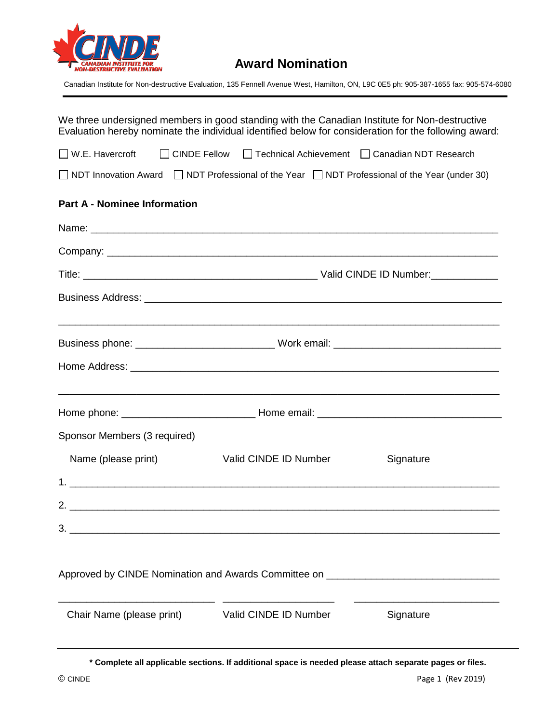

## **Award Nomination**

Canadian Institute for Non-destructive Evaluation, 135 Fennell Avenue West, Hamilton, ON, L9C 0E5 ph: 905-387-1655 fax: 905-574-6080

| We three undersigned members in good standing with the Canadian Institute for Non-destructive<br>Evaluation hereby nominate the individual identified below for consideration for the following award: |
|--------------------------------------------------------------------------------------------------------------------------------------------------------------------------------------------------------|
| ■ W.E. Havercroft ■ CINDE Fellow ■ Technical Achievement ■ Canadian NDT Research                                                                                                                       |
| $\Box$ NDT Innovation Award $\Box$ NDT Professional of the Year $\Box$ NDT Professional of the Year (under 30)                                                                                         |
| <b>Part A - Nominee Information</b>                                                                                                                                                                    |
|                                                                                                                                                                                                        |
|                                                                                                                                                                                                        |
|                                                                                                                                                                                                        |
|                                                                                                                                                                                                        |
|                                                                                                                                                                                                        |
|                                                                                                                                                                                                        |
|                                                                                                                                                                                                        |
| Sponsor Members (3 required)                                                                                                                                                                           |
| Valid CINDE ID Number<br>Name (please print)<br>Signature                                                                                                                                              |
|                                                                                                                                                                                                        |
|                                                                                                                                                                                                        |
|                                                                                                                                                                                                        |
| Approved by CINDE Nomination and Awards Committee on ____________________________                                                                                                                      |
| Chair Name (please print) Valid CINDE ID Number<br>Signature                                                                                                                                           |

**\* Complete all applicable sections. If additional space is needed please attach separate pages or files.**